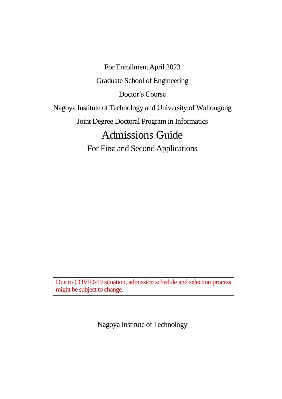For Enrollment April 2023 Graduate School of Engineering Doctor's Course Nagoya Institute of Technology and University of Wollongong Joint Degree Doctoral Program in Informatics Admissions Guide For First and Second Applications

Due to COVID-19 situation, admission schedule and selection process might be subject to change.

Nagoya Institute of Technology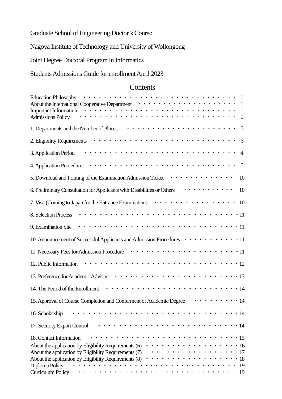Graduate School of Engineering Doctor's Course

Nagoya Institute of Technology and University of Wollongong

Joint Degree Doctoral Program in Informatics

Students Admissions Guide for enrollment April 2023

# **Contents**

| <b>Education Philosophy</b><br>1<br>About the International Cooperative Department $\cdots \cdots \cdots \cdots \cdots \cdots \cdots$<br>1<br><b>Important Information</b><br>$\mathbf{1}$<br>$\overline{2}$<br><b>Admissions Policy</b>                                                             |
|------------------------------------------------------------------------------------------------------------------------------------------------------------------------------------------------------------------------------------------------------------------------------------------------------|
| 3<br>1. Departments and the Number of Places                                                                                                                                                                                                                                                         |
| 3<br>2. Eligibility Requirements                                                                                                                                                                                                                                                                     |
| 3. Application Period<br>$\overline{4}$                                                                                                                                                                                                                                                              |
| 5<br>4. Application Procedure                                                                                                                                                                                                                                                                        |
| .<br>5. Download and Printing of the Examination Admission Ticket<br>10                                                                                                                                                                                                                              |
| .<br>6. Preliminary Consultation for Applicants with Disabilities or Others<br>10                                                                                                                                                                                                                    |
| .<br>10<br>7. Visa (Coming to Japan for the Entrance Examination)                                                                                                                                                                                                                                    |
| 8. Selection Process                                                                                                                                                                                                                                                                                 |
| 9. Examination Site                                                                                                                                                                                                                                                                                  |
| 10. Announcement of Successful Applicants and Admission Procedures $\cdots \cdots \cdots \cdots 11$                                                                                                                                                                                                  |
| 11. Necessary Fees for Admission Procedure                                                                                                                                                                                                                                                           |
| 12. Public Information                                                                                                                                                                                                                                                                               |
| 13. Preference for Academic Advisor                                                                                                                                                                                                                                                                  |
| 14. The Period of the Enrollment                                                                                                                                                                                                                                                                     |
| $\cdots \cdots \cdots \cdots$ 14<br>15. Approval of Course Completion and Conferment of Academic Degree                                                                                                                                                                                              |
| 16. Scholarship<br>-14                                                                                                                                                                                                                                                                               |
| 17. Security Export Control<br>$\cdot$ 14                                                                                                                                                                                                                                                            |
| 18. Contact Information<br>$\cdot$ 15<br>About the application by Eligibility Requirements (6)<br>16<br>About the application by Eligibility Requirements (7)<br>17<br>About the application by Eligibility Requirements (8)<br>$\cdot$ 18<br>Diploma Policy<br>19<br><b>Curriculum Policy</b><br>19 |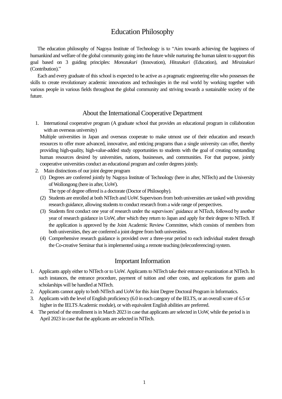# Education Philosophy

The education philosophy of Nagoya Institute of Technology is to "Aim towards achieving the happiness of humankind and welfare of the global community going into the future while nurturing the human talent to support this goal based on 3 guiding principles: *Monozukuri* (Innovation), *Hitozukuri* (Education), and *Miraizukuri* (Contribution)."

 Each and every graduate of this school is expected to be active as a pragmatic engineering elite who possesses the skills to create revolutionary academic innovations and technologies in the real world by working together with various people in various fields throughout the global community and striving towards a sustainable society of the future.

## About the International Cooperative Department

1. International cooperative program (A graduate school that provides an educational program in collaboration with an overseas university)

 Multiple universities in Japan and overseas cooperate to make utmost use of their education and research resources to offer more advanced, innovative, and enticing programs than a single university can offer, thereby providing high-quality, high-value-added study opportunities to students with the goal of creating outstanding human resources desired by universities, nations, businesses, and communities. For that purpose, jointly cooperative universities conduct an educational program and confer degrees jointly.

- 2. Main distinctions of our joint degree program
	- (1) Degrees are conferred jointly by Nagoya Institute of Technology (here in after, NITech) and the University of Wollongong (here in after, UoW).

The type of degree offered is a doctorate (Doctor of Philosophy).

- (2) Students are enrolled at both NITech and UoW. Supervisors from both universities are tasked with providing research guidance, allowing students to conduct research from a wide range of perspectives.
- (3) Students first conduct one year of research under the supervisors' guidance at NITech, followed by another year of research guidance in UoW, after which they return to Japan and apply for their degree to NITech. If the application is approved by the Joint Academic Review Committee, which consists of members from both universities, they are conferred a joint degree from both universities.
- (4) Comprehensive research guidance is provided over a three-year period to each individual student through the Co-creative Seminar that is implemented using a remote teaching (teleconferencing) system.

### Important Information

- 1. Applicants apply either to NITech or to UoW. Applicants to NITech take their entrance examination at NITech. In such instances, the entrance procedure, payment of tuition and other costs, and applications for grants and scholarships will be handled at NITech.
- 2. Applicants cannot apply to both NITech and UoW for this Joint Degree Doctoral Program in Informatics.
- 3. Applicants with the level of English proficiency (6.0 in each category of the IELTS, or an overall score of 6.5 or higher in the IELTS Academic module), or with equivalent English abilities are preferred.
- 4. The period of the enrollment is in March 2023 in case that applicants are selected in UoW, while the period is in April 2023 in case that the applicants are selected in NITech.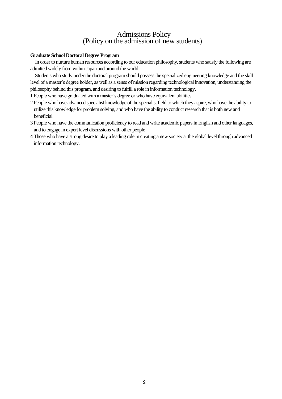# Admissions Policy (Policy on the admission of new students)

#### **Graduate School Doctoral Degree Program**

 In order to nurture human resources according to our education philosophy, students who satisfy the following are admitted widely from within Japan and around the world.

 Students who study under the doctoral program should possess the specialized engineering knowledge and the skill level of a master's degree holder, as well as a sense of mission regarding technological innovation, understanding the philosophy behind this program, and desiring to fulfill a role in information technology.

1 People who have graduated with a master's degree or who have equivalent abilities

- 2 People who have advanced specialist knowledge of the specialist field to which they aspire, who have the ability to utilize this knowledge for problem solving, and who have the ability to conduct research that is both new and beneficial
- 3 People who have the communication proficiency to read and write academic papers in English and other languages, and to engage in expert level discussions with other people
- 4 Those who have a strong desire to play a leading role in creating a new society at the global level through advanced information technology.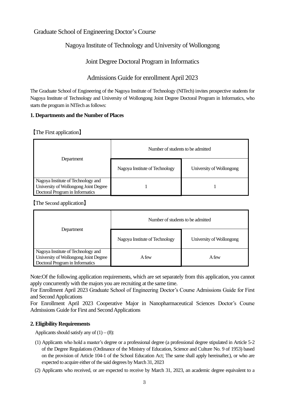# Graduate School of Engineering Doctor's Course

# Nagoya Institute of Technology and University of Wollongong

# Joint Degree Doctoral Program in Informatics

# Admissions Guide for enrollment April 2023

The Graduate School of Engineering of the Nagoya Institute of Technology (NITech) invites prospective students for Nagoya Institute of Technology and University of Wollongong Joint Degree Doctoral Program in Informatics, who starts the program in NITech as follows:

## **1. Departments and the Number of Places**

【The First application】

|                                                                                                                | Number of students to be admitted |                          |
|----------------------------------------------------------------------------------------------------------------|-----------------------------------|--------------------------|
| Department                                                                                                     | Nagoya Institute of Technology    | University of Wollongong |
| Nagoya Institute of Technology and<br>University of Wollongong Joint Degree<br>Doctoral Program in Informatics |                                   |                          |

【The Second application】

|                                                                                                                | Number of students to be admitted<br>Nagoya Institute of Technology<br>University of Wollongong |       |
|----------------------------------------------------------------------------------------------------------------|-------------------------------------------------------------------------------------------------|-------|
| Department                                                                                                     |                                                                                                 |       |
| Nagoya Institute of Technology and<br>University of Wollongong Joint Degree<br>Doctoral Program in Informatics | A few                                                                                           | A few |

Note:Of the following application requirements, which are set separately from this application, you cannot apply concurrently with the majors you are recruiting at the same time.

For Enrollment April 2023 Graduate School of Engineering Doctor's Course Admissions Guide for First and Second Applications

For Enrollment April 2023 Cooperative Major in Nanopharmaceutical Sciences Doctor's Course Admissions Guide for First and Second Applications

## **2. Eligibility Requirements**

Applicants should satisfy any of  $(1) - (8)$ :

- (1) Applicants who hold a master's degree or a professional degree (a professional degree stipulated in Article 5-2 of the Degree Regulations (Ordinance of the Ministry of Education, Science and Culture No. 9 of 1953) based on the provision of Article 104-1 of the School Education Act; The same shall apply hereinafter.), or who are expected to acquire either of the said degrees by March 31, 2023
- (2) Applicants who received, or are expected to receive by March 31, 2023, an academic degree equivalent to a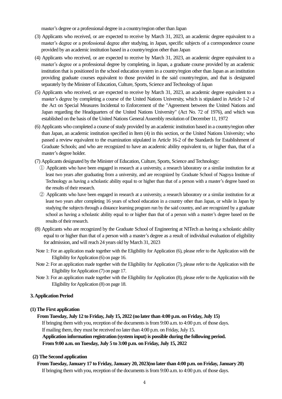master's degree or a professional degree in a country/region other than Japan

- (3) Applicants who received, or are expected to receive by March 31, 2023, an academic degree equivalent to a master's degree or a professional degree after studying, in Japan, specific subjects of a correspondence course provided by an academic institution based in a country/region other than Japan
- (4) Applicants who received, or are expected to receive by March 31, 2023, an academic degree equivalent to a master's degree or a professional degree by completing, in Japan, a graduate course provided by an academic institution that is positioned in the school education system in a country/region other than Japan as an institution providing graduate courses equivalent to those provided in the said country/region, and that is designated separately by the Minister of Education, Culture, Sports, Science and Technology of Japan
- (5) Applicants who received, or are expected to receive by March 31, 2023, an academic degree equivalent to a master's degree by completing a course of the United Nations University, which is stipulated in Article 1-2 of the Act on Special Measures Incidental to Enforcement of the "Agreement between the United Nations and Japan regarding the Headquarters of the United Nations University" (Act No. 72 of 1976), and which was established on the basis of the United Nations General Assembly resolution of December 11, 1972
- (6) Applicants who completed a course of study provided by an academic institution based in a country/region other than Japan, an academic institution specified in Item (4) in this section, or the United Nations University; who passed a review equivalent to the examination stipulated in Article 16-2 of the Standards for Establishment of Graduate Schools; and who are recognized to have an academic ability equivalent to, or higher than, that of a master's degree holder.
- (7) Applicants designated by the Minister of Education, Culture, Sports, Science and Technology:
	- ① Applicants who have been engaged in research at a university, a research laboratory or a similar institution for at least two years after graduating from a university, and are recognized by Graduate School of Nagoya Institute of Technology as having a scholastic ability equal to or higher than that of a person with a master's degree based on the results of their research.
	- ② Applicants who have been engaged in research at a university, a research laboratory or a similar institution for at least two years after completing 16 years of school education in a country other than Japan, or while in Japan by studying the subjects through a distance learning program run by the said country, and are recognized by a graduate school as having a scholastic ability equal to or higher than that of a person with a master's degree based on the results of their research.
- (8) Applicants who are recognized by the Graduate School of Engineering at NITech as having a scholastic ability equal to or higher than that of a person with a master's degree as a result of individual evaluation of eligibility for admission, and will reach 24 years old by March 31, 2023
- Note 1: For an application made together with the Eligibility for Application (6), please refer to the Application with the Eligibility for Application (6) on page 16.
- Note 2: For an application made together with the Eligibility for Application (7), please refer to the Application with the Eligibility for Application (7) on page 17.
- Note 3: For an application made together with the Eligibility for Application (8), please refer to the Application with the Eligibility for Application (8) on page 18.

#### **3. Application Period**

#### **(1) The First application**

**From Tuesday, July 12 to Friday, July 15, 2022 (no later than 4:00 p.m. on Friday, July 15)** If bringing them with you, reception of the documents is from 9:00 a.m. to 4:00 p.m. of those days. If mailing them, they must be received no later than 4:00 p.m. on Friday, July 15. **Application information registration (system input) is possible during the following period. From 9:00 a.m. on Tuesday, July 5 to 3:00 p.m. on Friday, July 15, 2022**

#### **(2) The Second application**

**From Tuesday, January 17 to Friday, January 20, 2023(no later than 4:00 p.m. on Friday, January 20)** If bringing them with you, reception of the documents is from 9:00 a.m. to 4:00 p.m. of those days.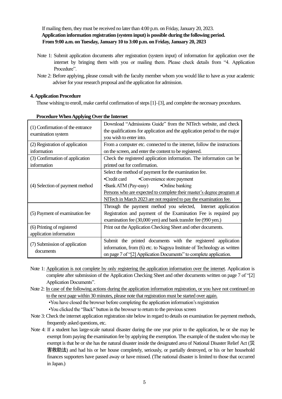If mailing them, they must be received no later than 4:00 p.m. on Friday, January 20, 2023. **Application information registration (system input) is possible during the following period. From 9:00 a.m. on Tuesday, January 10 to 3:00 p.m. on Friday, January 20, 2023**

- Note 1: Submit application documents after registration (system input) of information for application over the internet by bringing them with you or mailing them. Please check details from "4. Application Procedure".
- Note 2: Before applying, please consult with the faculty member whom you would like to have as your academic adviser for your research proposal and the application for admission.

### **4. Application Procedure**

Those wishing to enroll, make careful confirmation of steps [1]–[3], and complete the necessary procedures.

| (1) Confirmation of the entrance<br>examination system | Download "Admissions Guide" from the NITech website, and check<br>the qualifications for application and the application period to the major<br>you wish to enter into.                                      |  |  |
|--------------------------------------------------------|--------------------------------------------------------------------------------------------------------------------------------------------------------------------------------------------------------------|--|--|
| (2) Registration of application                        | From a computer etc. connected to the internet, follow the instructions                                                                                                                                      |  |  |
| information                                            | on the screen, and enter the content to be registered.                                                                                                                                                       |  |  |
| (3) Confirmation of application                        | Check the registered application information. The information can be                                                                                                                                         |  |  |
| information                                            | printed out for confirmation.                                                                                                                                                                                |  |  |
|                                                        | Select the method of payment for the examination fee.                                                                                                                                                        |  |  |
| (4) Selection of payment method                        | •Convenience store payment<br>•Credit card                                                                                                                                                                   |  |  |
|                                                        | •Bank ATM (Pay-easy)<br>•Online banking                                                                                                                                                                      |  |  |
|                                                        | Persons who are expected to complete their master's degree program at                                                                                                                                        |  |  |
|                                                        | NITech in March 2023 are not required to pay the examination fee.                                                                                                                                            |  |  |
| (5) Payment of examination fee                         | Through the payment method you selected, Internet application<br>Registration and payment of the Examination Fee is required pay<br>examination fee (30,000 yen) and bank transfer fee (990 yen.)            |  |  |
| (6) Printing of registered                             | Print out the Application Checking Sheet and other documents.                                                                                                                                                |  |  |
| application information                                |                                                                                                                                                                                                              |  |  |
| (7) Submission of application<br>documents             | Submit the printed documents with the registered application<br>information, from (6) etc. to Nagoya Institute of Technology as written<br>on page 7 of "[2] Application Documents" to complete application. |  |  |

#### **Procedure When Applying Over the Internet**

- Note 1: Application is not complete by only registering the application information over the internet. Application is complete after submission of the Application Checking Sheet and other documents written on page 7 of "[2] Application Documents".
- Note 2: In case of the following actions during the application information registration, or you have not continued on to the next page within 30 minutes, please note that registration must be started over again. •You have closed the browser before completing the application information's registration

•You clicked the "Back" button in the browser to return to the previous screen

- Note 3: Check the internet application registration site below in regard to details on examination fee payment methods, frequently asked questions, etc.
- Note 4: If a student has large-scale natural disaster during the one year prior to the application, he or she may be exempt from paying the examination fee by applying the exemption. The example of the student who may be exempt is that he or she has the natural disaster inside the designated area of National Disaster Relief Act (災 害救助法) and had his or her house completely, seriously, or partially destroyed, or his or her household finances supporters have passed away or have missed. (The national disaster is limited to those that occurred in Japan.)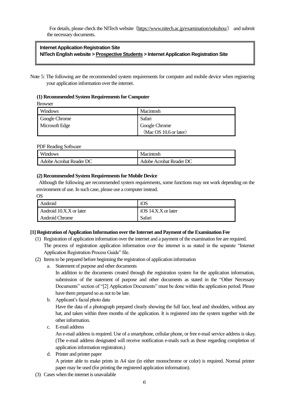For details, please check the NITech website (<https://www.nitech.ac.jp/examination/sokuhou/>) and submit the necessary documents.

## **Internet Application Registration Site NITech English website [> Prospective Students](https://www.nitech.ac.jp/eng/admission/index.html) > Internet Application Registration Site**

Note 5: The following are the recommended system requirements for computer and mobile device when registering your application information over the internet.

#### **(1) Recommended System Requirements for Computer**

Browser

| Windows              | Macintosh              |
|----------------------|------------------------|
| <b>Google Chrome</b> | Safari                 |
| Microsoft Edge       | Google Chrome          |
|                      | (Mac OS 10.6 or later) |

PDF Reading Software

| <b>Windows</b>          | Macintosh               |
|-------------------------|-------------------------|
| Adobe Acrobat Reader DC | Adobe Acrobat Reader DC |

### **(2) Recommended System Requirements for Mobile Device**

Although the following are recommended system requirements, some functions may not work depending on the environment of use. In such case, please use a computer instead.

| ЭS                      |                     |
|-------------------------|---------------------|
| Android                 | iOS                 |
| Android 10.X.X or later | iOS 14.X.X or later |
| <b>Android Chrome</b>   | Safari              |

#### **[1] Registration of Application Information over the Internet and Payment of the Examination Fee**

- (1) Registration of application information over the internet and a payment of the examination fee are required. The process of registration application information over the internet is as stated in the separate "Internet Application Registration Process Guide" file.
- (2) Itemsto be prepared before beginning the registration of application information
	- a. Statement of purpose and other documents

In addition to the documents created through the registration system for the application information, submission of the statement of purpose and other documents as stated in the "Other Necessary Documents" section of "[2] Application Documents" must be done within the application period. Please have them prepared so as not to be late.

b. Applicant's facial photo data

Have the data of a photograph prepared clearly showing the full face, head and shoulders, without any hat, and taken within three months of the application. It is registered into the system together with the other information.

c. E-mail address

An e-mail address is required. Use of a smartphone, cellular phone, or free e-mail service address is okay. (The e-mail address designated will receive notification e-mails such as those regarding completion of application information registration.)

d. Printer and printer paper

A printer able to make prints in A4 size (in either monochrome or color) is required. Normal printer paper may be used (for printing the registered application information).

(3) Cases when the internet is unavailable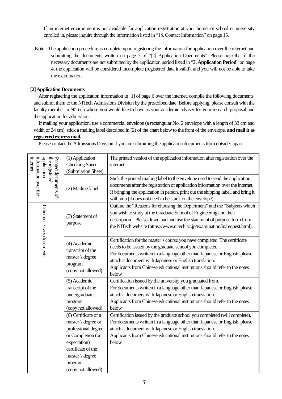If an internet environment is not available for application registration at your home, or school or university enrolled in, please inquire through the information listed in "18. Contact Information" on page 15.

Note : The application procedure is complete upon registering the information for application over the internet and submitting the documents written on page 7 of "[2] Application Documents". Please note that if the necessary documents are not submitted by the application period listed in "**3. Application Period**" on page 4, the application will be considered incomplete (registered data invalid), and you will not be able to take the examination.

#### **[2] Application Documents**

After registering the application information in [1] of page 6 over the internet, compile the following documents, and submit them to the NITech Admissions Division by the prescribed date. Before applying, please consult with the faculty member in NITech whom you would like to have as your academic adviser for your research proposal and the application for admission.

If mailing your application, use a commercial envelope (a rectangular No. 2 envelope with a length of 33 cm and width of 24 cm), stick a mailing label described in (2) of the chart below to the front of the envelope, **and mail it as registered express mail.**

Please contact the Admissions Division if you are submitting the application documents from outside Japan.

| application<br>information over the<br>the registered<br>internet | (1) Application<br><b>Checking Sheet</b><br>(Submission Sheet)                                                                                                                    | The printed version of the application information after registration over the<br>internet                                                                                                                                                                                                                                                                             |  |  |
|-------------------------------------------------------------------|-----------------------------------------------------------------------------------------------------------------------------------------------------------------------------------|------------------------------------------------------------------------------------------------------------------------------------------------------------------------------------------------------------------------------------------------------------------------------------------------------------------------------------------------------------------------|--|--|
| Printed documents of                                              | (2) Mailing label                                                                                                                                                                 | Stick the printed mailing label to the envelope used to send the application<br>documents after the registration of application information over the internet.<br>If bringing the application in person, print out the shipping label, and bring it<br>with you (it does not need to be stuck on the envelope).                                                        |  |  |
| Other necessary documents                                         | (3) Statement of<br>purpose                                                                                                                                                       | Outline the "Reasons for choosing the Department" and the "Subjects which<br>you wish to study at the Graduate School of Engineering and their<br>description." Please download and use the statement of purpose form from<br>the NITech website (https://www.nitech.ac.jp/examination/in/request.html).                                                               |  |  |
|                                                                   | (4) Academic<br>transcript of the<br>master's degree<br>program<br>(copy not allowed)                                                                                             | Certification for the master's course you have completed. The certificate<br>needs to be issued by the graduate school you completed.<br>For documents written in a language other than Japanese or English, please<br>attach a document with Japanese or English translation.<br>Applicants from Chinese educational institutions should refer to the notes<br>below. |  |  |
|                                                                   | (5) Academic<br>transcript of the<br>undergraduate<br>program<br>(copy not allowed)                                                                                               | Certification issued by the university you graduated from.<br>For documents written in a language other than Japanese or English, please<br>attach a document with Japanese or English translation.<br>Applicants from Chinese educational institutions should refer to the notes<br>below.                                                                            |  |  |
|                                                                   | (6) Certificate of a<br>master's degree or<br>professional degree,<br>or Completion (or<br>expectation)<br>certificate of the<br>master's degree<br>program<br>(copy not allowed) | Certification issued by the graduate school you completed (will complete).<br>For documents written in a language other than Japanese or English, please<br>attach a document with Japanese or English translation.<br>Applicants from Chinese educational institutions should refer to the notes<br>below.                                                            |  |  |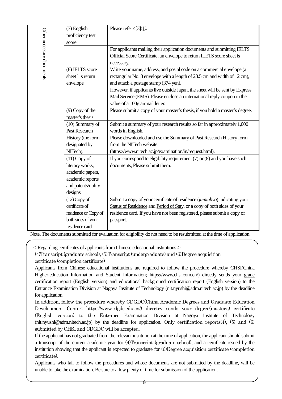|                           | (7) English<br>proficiency test<br>score                                                                    | Please refer 4[3] (1).                                                                                                                                                                                                                                                                                                                                                                                                                                                                                                                                      |
|---------------------------|-------------------------------------------------------------------------------------------------------------|-------------------------------------------------------------------------------------------------------------------------------------------------------------------------------------------------------------------------------------------------------------------------------------------------------------------------------------------------------------------------------------------------------------------------------------------------------------------------------------------------------------------------------------------------------------|
| Other necessary documents | (8) IELTS score<br>sheet's return<br>envelope                                                               | For applicants mailing their application documents and submitting IELTS<br>Official Score Certificate, an envelope to return ILETS score sheet is<br>necessary.<br>Write your name, address, and postal code on a commercial envelope (a<br>rectangular No. 3 envelope with a length of 23.5 cm and width of 12 cm),<br>and attach a postage stamp (374 yen).<br>However, if applicants live outside Japan, the sheet will be sent by Express<br>Mail Service (EMS). Please enclose an international reply coupon in the<br>value of a 100g airmail letter. |
|                           | $(9)$ Copy of the<br>master's thesis                                                                        | Please submit a copy of your master's thesis, if you hold a master's degree.                                                                                                                                                                                                                                                                                                                                                                                                                                                                                |
|                           | $(10)$ Summary of<br><b>Past Research</b><br>History (the form<br>designated by<br>NITech).                 | Submit a summary of your research results so far in approximately 1,000<br>words in English.<br>Please downloaded and use the Summary of Past Research History form<br>from the NITech website.<br>(https://www.nitech.ac.jp/examination/in/request.html).                                                                                                                                                                                                                                                                                                  |
|                           | $(11)$ Copy of<br>literary works,<br>academic papers,<br>academic reports<br>and patents/utility<br>designs | If you correspond to eligibility requirement $(7)$ or $(8)$ and you have such<br>documents, Please submit them.                                                                                                                                                                                                                                                                                                                                                                                                                                             |
|                           | $(12)$ Copy of<br>certificate of<br>residence or Copy of<br>both sides of your<br>residence card            | Submit a copy of your certificate of residence (juminhyo) indicating your<br>Status of Residence and Period of Stay, or a copy of both sides of your<br>residence card. If you have not been registered, please submit a copy of<br>passport.                                                                                                                                                                                                                                                                                                               |

Note.The documents submitted for evaluation for eligibility do not need to be resubmitted at the time of application.

 $\leq$  Regarding certificates of applicants from Chinese educational institutions  $\geq$ 

(4)Transcript (graduate school), (5)Transcript (undergraduate) and (6)Degree acquisition certificate (completion certificate)

Applicants from Chinese educational institutions are required to follow the procedure whereby CHSI(China Higher-education Information and Student Information; https://www.chsi.com.cn/) directly sends your grade certification report (English version) and educational background certification report (English version) to the Entrance Examination Division at Nagoya Institute of Technology (nit.nyushi@adm.nitech.ac.jp) by the deadline for application.

In addition, follow the procedure whereby CDGDC(China Academic Degrees and Graduate Education Development Center; https://www.cdgdc.edu.cn/) directry sends your degree(master's) certificate (English version) to the Entrance Examination Division at Nagoya Institute of Technology (nit.nyushi@adm.nitech.ac.jp) by the deadline for application. Only certification reports(4), (5) and (6) submitted by CHSI and CDGDC will be accepted.

If the applicant has not graduated from the relevant institution at the time of application, the applicant should submit a transcript of the current academic year for (4)Transcript (graduate school), and a certificate issued by the institution showing that the applicant is expected to graduate for (6)Degree acquisition certificate (completion certificate).

Applicants who fail to follow the procedures and whose documents are not submitted by the deadline, will be unable to take the examination. Be sure to allow plenty of time for submission of the application.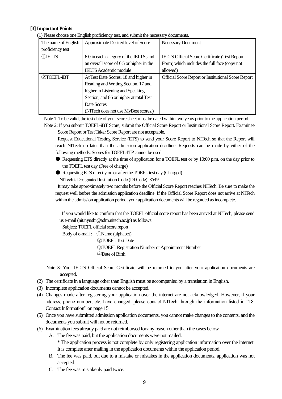#### **[3] Important Points**

|  | (1) Please choose one English proficiency test, and submit the necessary documents. |
|--|-------------------------------------------------------------------------------------|
|  |                                                                                     |

| The name of English | Approximate Desired level of Score       | <b>Necessary Document</b>                                  |
|---------------------|------------------------------------------|------------------------------------------------------------|
| proficiency test    |                                          |                                                            |
| OJELTS              | 6.0 in each category of the IELTS, and   | <b>IELTS Official Score Certificate (Test Report</b> )     |
|                     | an overall score of 6.5 or higher in the | Form) which includes the full face (copy not               |
|                     | <b>IELTS</b> Academic module             | allowed)                                                   |
| 2TOEFL-iBT          | At Test Date Scores, 18 and higher in    | <b>Official Score Report or Institutional Score Report</b> |
|                     | Reading and Writing Section, 17 and      |                                                            |
|                     | higher in Listening and Speaking         |                                                            |
|                     | Section, and 86 or higher at total Test  |                                                            |
|                     | Date Scores                              |                                                            |
|                     | (NITech does not use MyBest scores.)     |                                                            |

Note 1: To be valid, the test date of your score sheet must be dated within two years prior to the application period.

Note 2: If you submit TOEFL-iBT Score, submit the Official Score Report or Institutional Score Report. Examinee Score Report or Test Taker Score Report are not acceptable.

Request Educational Testing Service (ETS) to send your Score Report to NITech so that the Report will reach NITech no later than the admission application deadline. Requests can be made by either of the following methods: Scores for TOEFL-ITP cannot be used.

- Requesting ETS directly at the time of application for a TOEFL test or by 10:00 p.m. on the day prior to the TOEFL test day (Free of charge)
- Requesting ETS directly on or after the TOEFL test day (Charged)

NITech's Designated Institution Code (DI Code): 8549 It may take approximately two months before the Official Score Report reaches NITech. Be sure to make the

request well before the admission application deadline. If the Official Score Report does not arrive at NITech within the admission application period, your application documents will be regarded as incomplete.

If you would like to confirm that the TOEFL official score report has been arrived at NITech, please send us e-mail (nit.nyushi@adm.nitech.ac.jp) as follows:

Subject: TOEFL official score report

Body of e-mail : ①Name (alphabet) TOEFL Test Date TOEFL Registration Number or Appointment Number Date of Birth

Note 3: Your IELTS Official Score Certificate will be returned to you after your application documents are accepted.

- (2) The certificate in a language other than English must be accompanied by a translation in English.
- (3) Incomplete application documents cannot be accepted.
- (4) Changes made after registering your application over the internet are not acknowledged. However, if your address, phone number, etc. have changed, please contact NITech through the information listed in "18. Contact Information" on page 15.
- (5) Once you have submitted admission application documents, you cannot make changes to the contents, and the documents you submit will not be returned.
- (6) Examination fees already paid are not reimbursed for any reason other than the cases below.
	- A. The fee was paid, but the application documents were not mailed.

\* The application process is not complete by only registering application information over the internet. It is complete after mailing in the application documents within the application period.

- B. The fee was paid, but due to a mistake or mistakes in the application documents, application was not accepted.
- C. The fee was mistakenly paid twice.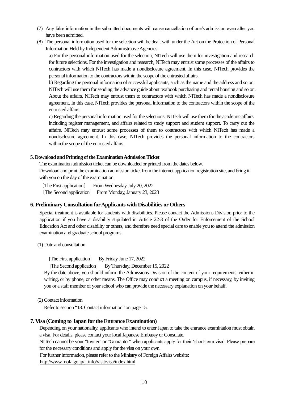- (7) Any false information in the submitted documents will cause cancellation of one's admission even after you have been admitted.
- (8) The personal information used for the selection will be dealt with under the Act on the Protection of Personal Information Held by Independent Administrative Agencies:

a) For the personal information used for the selection, NITech will use them for investigation and research for future selections. For the investigation and research, NITech may entrust some processes of the affairs to contractors with which NITech has made a nondisclosure agreement. In this case, NITech provides the personal information to the contractors within the scope of the entrusted affairs.

b) Regarding the personal information of successful applicants, such as the name and the address and so on, NITech will use them for sending the advance guide about textbook purchasing and rental housing and so on. About the affairs, NITech may entrust them to contractors with which NITech has made a nondisclosure agreement. In this case, NITech provides the personal information to the contractors within the scope of the entrusted affairs.

c) Regarding the personal information used for the selections, NITech will use them for the academic affairs, including register management, and affairs related to study support and student support. To carry out the affairs, NITech may entrust some processes of them to contractors with which NITech has made a nondisclosure agreement. In this case, NITech provides the personal information to the contractors within.the scope of the entrusted affairs.

#### **5. Download and Printing of the Examination Admission Ticket**

The examination admission ticket can be downloaded or printed from the dates below.

Download and print the examination admission ticket from the internet application registration site, and bring it with you on the day of the examination.

〔The First application〕 From Wednesday July 20, 2022 〔The Second application〕 From Monday, January 23, 2023

#### **6. Preliminary Consultation forApplicants with Disabilities or Others**

Special treatment is available for students with disabilities. Please contact the Admissions Division prior to the application if you have a disability stipulated in Article 22-3 of the Order for Enforcement of the School Education Act and other disability or others, and therefore need special care to enable you to attend the admission examination and graduate school programs.

(1) Date and consultation

[The First application] By Friday June 17, 2022

[The Second application] By Thursday, December 15, 2022

By the date above, you should inform the Admissions Division of the content of your requirements, either in writing, or by phone, or other means. The Office may conduct a meeting on campus, if necessary, by inviting you or a staff member of your school who can provide the necessary explanation on your behalf.

(2) Contact information

Refer to section "18. Contact information" on page 15.

### **7. Visa (Coming to Japan for the Entrance Examination)**

Depending on your nationality, applicants who intend to enter Japan to take the entrance examination must obtain a visa. For details, please contact your local Japanese Embassy or Consulate.

NITech cannot be your "Inviter" or "Guarantor" when applicants apply for their 'short-term visa'. Please prepare for the necessary conditions and apply for the visa on your own.

For further information, please refer to the Ministry of Foreign Affairs website:

[http://www.mofa.go.jp/j\\_info/visit/visa/index.html](http://www.mofa.go.jp/j_info/visit/visa/index.html)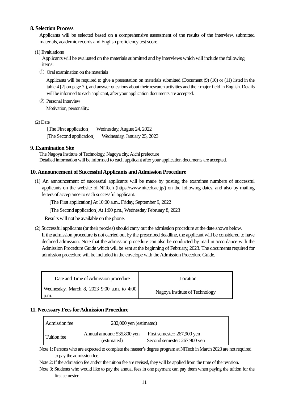### **8. Selection Process**

Applicants will be selected based on a comprehensive assessment of the results of the interview, submitted materials, academic records and English proficiency test score.

#### (1) Evaluations

Applicants will be evaluated on the materials submitted and by interviews which will include the following items:

① Oral examination on the materials

 Applicants will be required to give a presentation on materials submitted (Document (9) (10) or (11) listed in the table 4 [2] on page 7 ), and answer questions about their research activities and their major field in English. Details will be informed to each applicant, after your application documents are accepted.

② PersonalInterview Motivation, personality.

(2) Date

[The First application] Wednesday, August 24, 2022 [The Second application] Wednesday, January 25, 2023

### **9. Examination Site**

 The Nagoya Institute of Technology, Nagoya city, Aichi prefecture Detailed information will be informed to each applicant after your application documents are accepted.

### **10. Announcement of Successful Applicants and Admission Procedure**

(1) An announcement of successful applicants will be made by posting the examinee numbers of successful applicants on the website of NITech (https://www.nitech.ac.jp/) on the following dates, and also by mailing letters of acceptance to each successful applicant.

[The First application]At 10:00 a.m., Friday, September 9, 2022

[The Second application]At 1:00 p.m., Wednesday February 8, 2023

Results will not be available on the phone.

(2) Successful applicants (or their proxies) should carry out the admission procedure at the date shown below.

If the admission procedure is not carried out by the prescribed deadline, the applicant will be considered to have declined admission. Note that the admission procedure can also be conducted by mail in accordance with the Admission Procedure Guide which will be sent at the beginning of February, 2023. The documents required for admission procedure will be included in the envelope with the Admission Procedure Guide.

| Date and Time of Admission procedure                      | Location                       |
|-----------------------------------------------------------|--------------------------------|
| Wednesday, March 8, 2023 9:00 a.m. to 4:00<br>$\mid$ p.m. | Nagoya Institute of Technology |

### **11. Necessary Fees for Admission Procedure**

| Admission fee | 282,000 yen (estimated)                   |                                                             |
|---------------|-------------------------------------------|-------------------------------------------------------------|
| Tuition fee   | Annual amount: 535,800 yen<br>(estimated) | First semester: 267,900 yen<br>Second semester: 267,900 yen |

Note 1: Persons who are expected to complete the master's degree program at NITech in March 2023 are not required to pay the admission fee.

Note 2: If the admission fee and/or the tuition fee are revised, they will be applied from the time of the revision.

Note 3: Students who would like to pay the annual fees in one payment can pay them when paying the tuition for the first semester.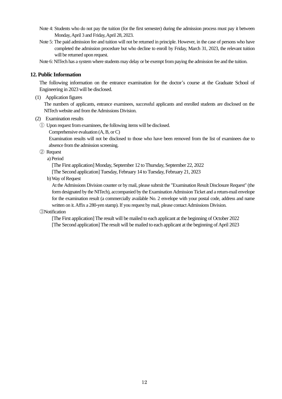- Note 4: Students who do not pay the tuition (for the first semester) during the admission process must pay it between Monday, April 3 and Friday, April 28, 2023.
- Note 5: The paid admission fee and tuition will not be returned in principle. However, in the case of persons who have completed the admission procedure but who decline to enroll by Friday, March 31, 2023, the relevant tuition will be returned upon request.

Note 6: NITech has a system where students may delay or be exempt from paying the admission fee and the tuition.

#### **12. Public Information**

The following information on the entrance examination for the doctor's course at the Graduate School of Engineering in 2023 will be disclosed.

(1) Application figures

The numbers of applicants, entrance examinees, successful applicants and enrolled students are disclosed on the NITech website and from the Admissions Division.

- (2) Examination results
	- ① Upon request from examinees, the following items will be disclosed.
		- Comprehensive evaluation (A, B, or C)

Examination results will not be disclosed to those who have been removed from the list of examinees due to absence from the admission screening.

- ② Request
	- a) Period

[The First application] Monday, September 12 to Thursday, September 22, 2022

[The Second application] Tuesday, February 14 to Tuesday, February 21, 2023

b) Way of Request

At the Admissions Division counter or by mail, please submit the "Examination Result Disclosure Request" (the form designated by the NITech), accompanied by the Examination Admission Ticket and a return-mail envelope for the examination result (a commercially available No. 2 envelope with your postal code, address and name written on it.Affix a 280-yen stamp). If you request by mail, please contact Admissions Division.

#### ③Notification

[The First application] The result will be mailed to each applicant at the beginning of October 2022 [The Second application] The result will be mailed to each applicant at the beginning of April 2023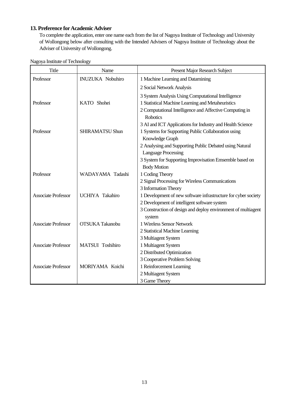## **13. Preference for Academic Adviser**

To complete the application, enter one name each from the list of Nagoya Institute of Technology and University of Wollongong below after consulting with the Intended Advisers of Nagoya Institute of Technology about the Adviser of University of Wollongong.

| <b>Title</b>               | Name                    | Present Major Research Subject                                             |
|----------------------------|-------------------------|----------------------------------------------------------------------------|
| Professor                  | <b>INUZUKA Nobuhiro</b> | 1 Machine Learning and Datamining                                          |
|                            |                         | 2 Social Network Analysis                                                  |
|                            |                         | 3 System Analysis Using Computational Intelligence                         |
| Professor                  | KATO Shohei             | 1 Statistical Machine Learning and Metaheuristics                          |
|                            |                         | 2 Computational Intelligence and Affective Computing in<br><b>Robotics</b> |
|                            |                         | 3 AI and ICT Applications for Industry and Health Science                  |
| Professor                  | <b>SHIRAMATSU Shun</b>  | 1 Systems for Supporting Public Collaboration using                        |
|                            |                         | Knowledge Graph                                                            |
|                            |                         | 2 Analysing and Supporting Public Debated using Natural                    |
|                            |                         | <b>Language Processing</b>                                                 |
|                            |                         | 3 System for Supporting Improvisation Emsemble based on                    |
|                            |                         | <b>Body Motion</b>                                                         |
| Professor                  | WADAYAMA Tadashi        | 1 Coding Theory                                                            |
|                            |                         | 2 Signal Processing for Wireless Communications                            |
|                            |                         | 3 Information Theory                                                       |
| <b>Associate Professor</b> | <b>UCHIYA Takahiro</b>  | 1 Development of new software infrastructure for cyber society             |
|                            |                         | 2 Development of intelligent software system                               |
|                            |                         | 3 Construction of design and deploy environment of multiagent              |
|                            |                         | system                                                                     |
| <b>Associate Professor</b> | <b>OTSUKA Takanobu</b>  | 1 Wireless Sensor Network                                                  |
|                            |                         | 2 Statistical Machine Learning                                             |
|                            |                         | 3 Multiagent System                                                        |
| <b>Associate Professor</b> | MATSUI Toshihiro        | 1 Multiagent System                                                        |
|                            |                         | 2 Distributed Optimization                                                 |
|                            |                         | 3 Cooperative Problem Solving                                              |
| <b>Associate Professor</b> | MORIYAMA Koichi         | 1 Reinforcement Learning                                                   |
|                            |                         | 2 Multiagent System                                                        |
|                            |                         | 3 Game Theory                                                              |

Nagoya Institute of Technology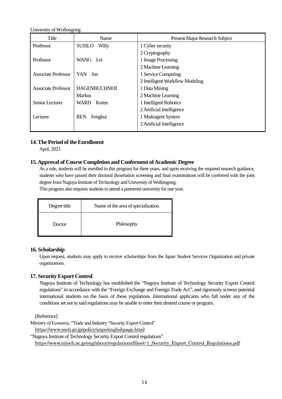University of Wollongong

| Title                      | Name                   | <b>Present Major Research Subject</b> |
|----------------------------|------------------------|---------------------------------------|
| Professor                  | <b>SUSILO</b><br>Willy | 1 Cyber security                      |
|                            |                        | 2 Cryptography                        |
| Professor                  | WANG Lei               | 1 Image Processing                    |
|                            |                        | 2 Machine Learning                    |
| <b>Associate Professor</b> | <b>YAN</b><br>Jun      | 1 Service Computing                   |
|                            |                        | 2 Intelligent Workflow Modeling       |
| <b>Associate Professor</b> | <b>HAGENBUCHNER</b>    | 1 Data Mining                         |
|                            | <b>Markus</b>          | 2 Machine Learning                    |
| Senior Lecturer            | Koren<br>WARD          | 1 Intelligent Robotics                |
|                            |                        | 2 Artificial Intelligence             |
| Lecturer                   | <b>REN</b><br>Fenghui  | 1 Multiagent System                   |
|                            |                        | 2 Artificial Intelligence             |
|                            |                        |                                       |

### **14. The Period of the Enrollment**

April, 2023

## **15. Approval of Course Completion and Conferment of Academic Degree**

As a rule, students will be enrolled in this program for three years, and upon receiving the required research guidance, students who have passed their doctoral dissertation screening and final examinations will be conferred with the joint degree from Nagoya Institute of Technology and University of Wollongong.

This program also requires students to attend a partnered university for one year.

| Degree title | Name of the area of specialization |  |
|--------------|------------------------------------|--|
| Doctor       | Philosophy                         |  |

### **16. Scholarship**

Upon request, students may apply to receive scholarships from the Japan Student Services Organization and private organizations.

### **17. Security Export Control**

 Nagoya Institute of Technology has established the "Nagoya Institute of Technology Security Export Control regulations" in accordance with the "Foreign Exchange and Foreign Trade Act", and rigorously screens potential international students on the basis of these regulations. International applicants who fall under any of the conditions set out in said regulations may be unable to enter their desired course or program.

[Reference]

Ministry of Economy, "Trade and Industry "Security Export Control"

<https://www.meti.go.jp/policy/anpo/englishpage.html>

"Nagoya Institute of Technology Security Export Control regulations"

[https://www.nitech.ac.jp/eng/about/regulations/files/c-1\\_Security\\_Export\\_Control\\_Regulations.pdf](https://www.nitech.ac.jp/eng/about/regulations/files/c-1_Security_Export_Control_Regulations.pdf)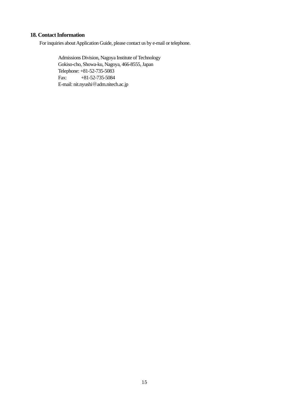## **18. Contact Information**

For inquiries about Application Guide, please contact us by e-mail or telephone.

Admissions Division, Nagoya Institute of Technology Gokiso-cho, Showa-ku, Nagoya, 466-8555, Japan Telephone: +81-52-735-5083 Fax: +81-52-735-5084 E-mail: nit.nyushi@adm.nitech.ac.jp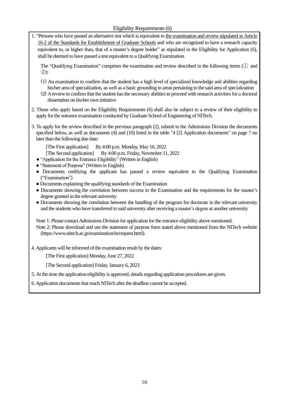Eligibility Requirements (6)

1. "Persons who have passed an alternative test which is equivalent to the examination and review stipulated in Article 16-2 of the Standards for Establishment of Graduate Schools and who are recognized to have a research capacity equivalent to, or higher than, that of a master's degree holder" as stipulated in the Eligibility for Application (6), shall be deemed to have passed a test equivalent to a Qualifying Examination.

The "Qualifying Examination" comprises the examination and review described in the following items (① and ②):

- (1) An examination to confirm that the student has a high level of specialized knowledge and abilities regarding his/her area of specialization, as well as a basic grounding in areas pertaining to the said area of specialization
- (2) A review to confirm that the student has the necessary abilities to proceed with research activities for a doctoral dissertation on his/her own initiative
- 2. Those who apply based on the Eligibility Requirements (6) shall also be subject to a review of their eligibility to apply for the entrance examination conducted by Graduate School of Engineering of NITech.
- 3. To apply for the review described in the previous paragraph (2), submit to the Admissions Division the documents specified below, as well as documents (4) and (10) listed in the table "4 [2] Application documents" on page 7 no later than the following due date:

[The First application] By 4:00 p.m. Monday, May 16, 2022

[The Second application] By 4:00 p.m. Friday, November 11, 2022

- "Application for the Entrance Eligibility" (Written in English)
- "Statement of Purpose" (Written in English)
- Documents certifying the applicant has passed a review equivalent to the Qualifying Examination ("Examination")
- Documents explaining the qualifying standards of the Examination
- Documents showing the correlation between success in the Examination and the requirements for the master's degree granted in the relevant university
- Documents showing the correlation between the handling of the program for doctorate in the relevant university and the students who have transferred to said university after receiving a master's degree at another university

Note 1: Please contact Admissions Division for application for the entrance eligibility above mentioned.

Note 2: Please download and use the statement of purpose form stated above mentioned from the NITech website (https://www.nitech.ac.jp/examination/in/request.html).

4. Applicants will be informed of the examination result by the dates:

[The First application] Monday, June 27, 2022

[The Second application] Friday, January 6, 2023

5. At the time the application eligibility is approved, details regarding application procedures are given.

6.Application documents that reach NITech after the deadline cannot be accepted.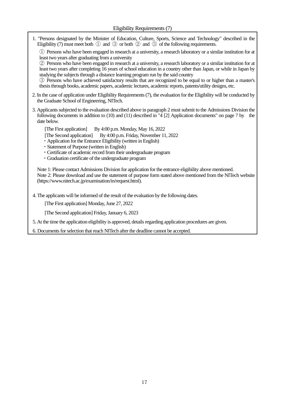1. "Persons designated by the Minister of Education, Culture, Sports, Science and Technology" described in the Eligibility (7) must meet both  $\mathbb D$  and  $\mathbb G$  or both  $\mathbb Q$  and  $\mathbb G$  of the following requirements.

① Persons who have been engaged in research at a university, a research laboratory or a similar institution for at least two years after graduating from a university

② Persons who have been engaged in research at a university, a research laboratory or a similar institution for at least two years after completing 16 years of school education in a country other than Japan, or while in Japan by studying the subjects through a distance learning program run by the said country

③ Persons who have achieved satisfactory results that are recognized to be equal to or higher than a master's thesis through books, academic papers, academic lectures, academic reports, patents/utility designs, etc.

- 2. In the case of application under Eligibility Requirements(7), the evaluation for the Eligibility will be conducted by the Graduate School of Engineering, NITech.
- 3. Applicants subjected to the evaluation described above in paragraph 2 must submit to the Admissions Division the following documents in addition to (10) and (11) described in "4 [2] Application documents" on page 7 by the date below.

[The First application] By 4:00 p.m. Monday, May 16, 2022

[The Second application] By 4:00 p.m. Friday, November 11, 2022

- ・Application for the Entrance Eligibility (written in English)
- ・Statement of Purpose (written in English)
- ・Certificate of academic record from their undergraduate program
- ・Graduation certificate of the undergraduate program

Note 1: Please contact Admissions Division for application for the entrance eligibility above mentioned. Note 2: Please download and use the statement of purpose form stated above mentioned from the NITech website (https://www.nitech.ac.jp/examination/in/request.html).

4. The applicants will be informed of the result of the evaluation by the following dates.

[The First application] Monday, June 27, 2022

[The Second application] Friday, January 6, 2023

5. At the time the application eligibility is approved, details regarding application procedures are given.

6. Documents for selection that reach NITech after the deadline cannot be accepted.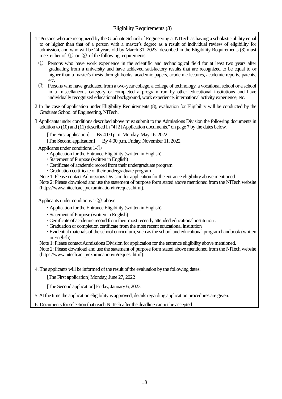- 1 "Persons who are recognized by the Graduate School of Engineering at NITech as having a scholastic ability equal to or higher than that of a person with a master's degree as a result of individual review of eligibility for admission, and who will be 24 years old by March 31, 2023" described in the Eligibility Requirements (8) must meet either of  $\Omega$  or  $\Omega$  of the following requirements.
	- Persons who have work experience in the scientific and technological field for at least two years after graduating from a university and have achieved satisfactory results that are recognized to be equal to or higher than a master's thesis through books, academic papers, academic lectures, academic reports, patents, etc.
	- ② Persons who have graduated from a two-year college, a college of technology, a vocational school or a school in a miscellaneous category or completed a program run by other educational institutions and have individually recognized educational background, work experience, international activity experience, etc.
- 2 In the case of application under Eligibility Requirements (8), evaluation for Eligibility will be conducted by the Graduate School of Engineering, NITech.
- 3 Applicants under conditions described above must submit to the Admissions Division the following documents in addition to (10) and (11) described in "4 [2] Application documents." on page 7 by the dates below.

[The First application] By 4:00 p.m. Monday, May 16, 2022

[The Second application] By 4:00 p.m. Friday, November 11, 2022

Applicants under conditions 1-①

- ・Application for the Entrance Eligibility (written in English)
- ・Statement of Purpose (written in English)
- ・Certificate of academic record from their undergraduate program
- ・Graduation certificate of their undergraduate program
- Note 1: Please contact Admissions Division for application for the entrance eligibility above mentioned.

Note 2: Please download and use the statement of purpose form stated above mentioned from the NITech website (https://www.nitech.ac.jp/examination/in/request.html).

Applicants under conditions 1-② above

- ・Application for the Entrance Eligibility (written in English)
- ・Statement of Purpose (written in English)
- ・Certificate of academic record from their most recently attended educational institution .
- ・Graduation or completion certificate from the most recent educational institution
- ・Evidential materials of the school curriculum, such as the school and educational program handbook (written in English)
- Note 1: Please contact Admissions Division for application for the entrance eligibility above mentioned.

Note 2: Please download and use the statement of purpose form stated above mentioned from the NITech website (https://www.nitech.ac.jp/examination/in/request.html).

4. The applicants will be informed of the result of the evaluation by the following dates.

[The First application] Monday, June 27, 2022

[The Second application] Friday, January 6, 2023

5. At the time the application eligibility is approved, details regarding application procedures are given.

6. Documents for selection that reach NITech after the deadline cannot be accepted.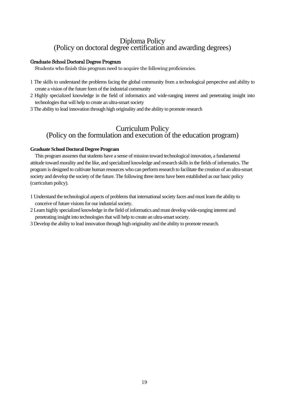# Diploma Policy (Policy on doctoral degree certification and awarding degrees)

### Graduate School Doctoral Degree Program

Students who finish this program need to acquire the following proficiencies.

- 1 The skills to understand the problems facing the global community from a technological perspective and ability to create a vision of the future form of the industrial community
- 2 Highly specialized knowledge in the field of informatics and wide-ranging interest and penetrating insight into technologies that will help to create an ultra-smart society
- 3 The ability to lead innovation through high originality and the ability to promote research

# Curriculum Policy (Policy on the formulation and execution of the education program)

### **Graduate School Doctoral Degree Program**

 This program assumes that students have a sense of mission toward technological innovation, a fundamental attitude toward morality and the like, and specialized knowledge and research skills in the fields of informatics. The program is designed to cultivate human resources who can perform research to facilitate the creation of an ultra-smart society and develop the society of the future. The following three items have been established as our basic policy (curriculum policy).

- 1 Understand the technological aspects of problems that international society faces and must learn the ability to conceive of future visions for our industrial society.
- 2 Learn highly specialized knowledge in the field of informatics and must develop wide-ranging interest and penetrating insight into technologies that will help to create an ultra-smart society.
- 3 Develop the ability to lead innovation through high originality and the ability to promote research.